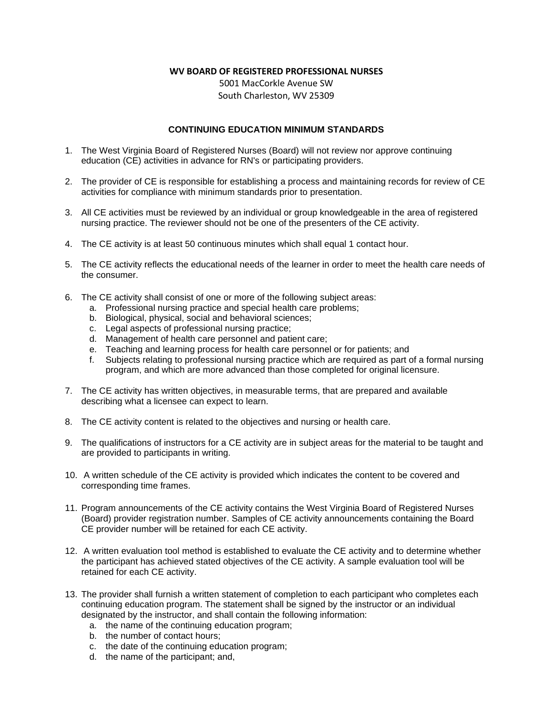## **WV BOARD OF REGISTERED PROFESSIONAL NURSES**

5001 MacCorkle Avenue SW South Charleston, WV 25309

## **CONTINUING EDUCATION MINIMUM STANDARDS**

- 1. The West Virginia Board of Registered Nurses (Board) will not review nor approve continuing education (CE) activities in advance for RN's or participating providers.
- 2. The provider of CE is responsible for establishing a process and maintaining records for review of CE activities for compliance with minimum standards prior to presentation.
- 3. All CE activities must be reviewed by an individual or group knowledgeable in the area of registered nursing practice. The reviewer should not be one of the presenters of the CE activity.
- 4. The CE activity is at least 50 continuous minutes which shall equal 1 contact hour.
- 5. The CE activity reflects the educational needs of the learner in order to meet the health care needs of the consumer.
- 6. The CE activity shall consist of one or more of the following subject areas:
	- a. Professional nursing practice and special health care problems;
	- b. Biological, physical, social and behavioral sciences;
	- c. Legal aspects of professional nursing practice;
	- d. Management of health care personnel and patient care;
	- e. Teaching and learning process for health care personnel or for patients; and
	- f. Subjects relating to professional nursing practice which are required as part of a formal nursing program, and which are more advanced than those completed for original licensure.
- 7. The CE activity has written objectives, in measurable terms, that are prepared and available describing what a licensee can expect to learn.
- 8. The CE activity content is related to the objectives and nursing or health care.
- 9. The qualifications of instructors for a CE activity are in subject areas for the material to be taught and are provided to participants in writing.
- 10. A written schedule of the CE activity is provided which indicates the content to be covered and corresponding time frames.
- 11. Program announcements of the CE activity contains the West Virginia Board of Registered Nurses (Board) provider registration number. Samples of CE activity announcements containing the Board CE provider number will be retained for each CE activity.
- 12. A written evaluation tool method is established to evaluate the CE activity and to determine whether the participant has achieved stated objectives of the CE activity. A sample evaluation tool will be retained for each CE activity.
- 13. The provider shall furnish a written statement of completion to each participant who completes each continuing education program. The statement shall be signed by the instructor or an individual designated by the instructor, and shall contain the following information:
	- a. the name of the continuing education program;
	- b. the number of contact hours;
	- c. the date of the continuing education program;
	- d. the name of the participant; and,